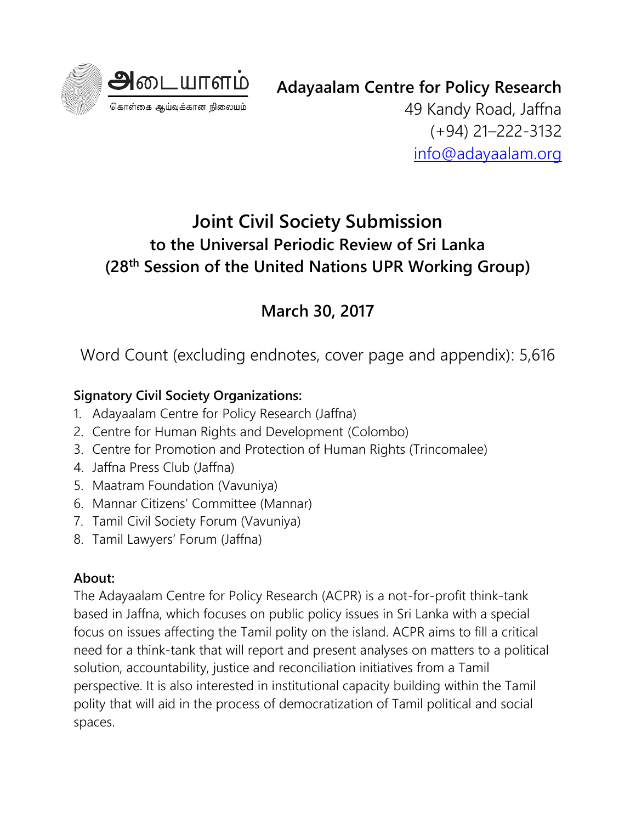

**Adayaalam Centre for Policy Research**

49 Kandy Road, Jaffna (+94) 21–222-3132 [info@adayaalam.org](mailto:info@adayaalam.org)

## **Joint Civil Society Submission to the Universal Periodic Review of Sri Lanka (28th Session of the United Nations UPR Working Group)**

## **March 30, 2017**

Word Count (excluding endnotes, cover page and appendix): 5,616

## **Signatory Civil Society Organizations:**

- 1. Adayaalam Centre for Policy Research (Jaffna)
- 2. Centre for Human Rights and Development (Colombo)
- 3. Centre for Promotion and Protection of Human Rights (Trincomalee)
- 4. Jaffna Press Club (Jaffna)
- 5. Maatram Foundation (Vavuniya)
- 6. Mannar Citizens' Committee (Mannar)
- 7. Tamil Civil Society Forum (Vavuniya)
- 8. Tamil Lawyers' Forum (Jaffna)

## **About:**

The Adayaalam Centre for Policy Research (ACPR) is a not-for-profit think-tank based in Jaffna, which focuses on public policy issues in Sri Lanka with a special focus on issues affecting the Tamil polity on the island. ACPR aims to fill a critical need for a think-tank that will report and present analyses on matters to a political solution, accountability, justice and reconciliation initiatives from a Tamil perspective. It is also interested in institutional capacity building within the Tamil polity that will aid in the process of democratization of Tamil political and social spaces.